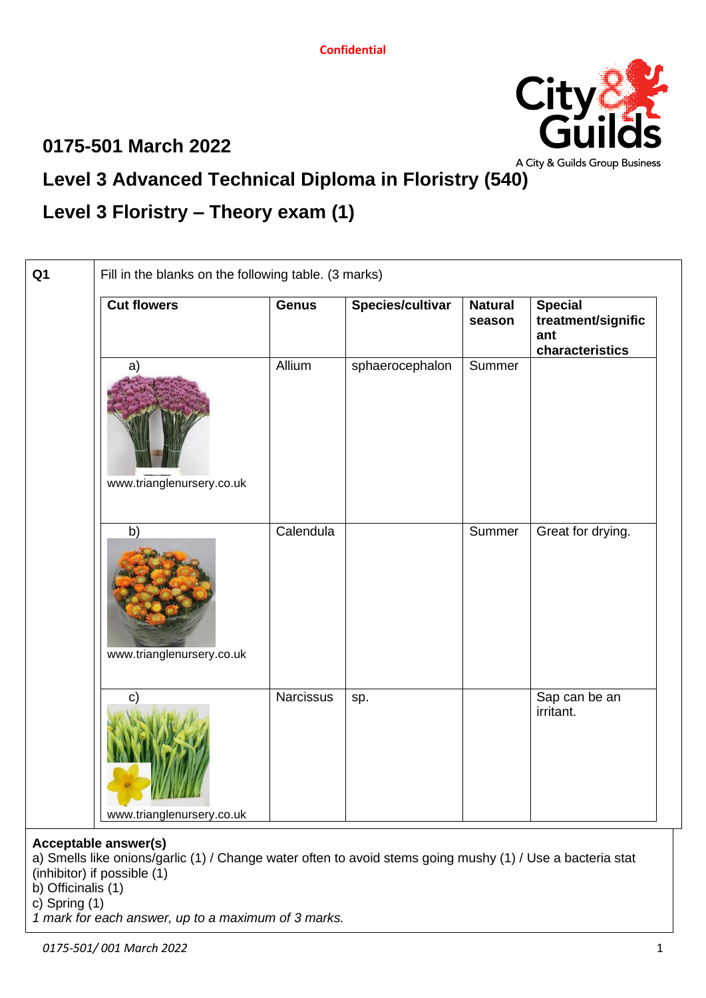### **0175-501 March 2022**



# **Level 3 Advanced Technical Diploma in Floristry (540)**

## **Level 3 Floristry – Theory exam (1)**

| <b>Cut flowers</b>                        | <b>Genus</b>     | Species/cultivar | <b>Natural</b><br>season | <b>Special</b><br>treatment/signific<br>ant<br>characteristics |
|-------------------------------------------|------------------|------------------|--------------------------|----------------------------------------------------------------|
| a)<br>www.trianglenursery.co.uk           | Allium           | sphaerocephalon  | Summer                   |                                                                |
| b)<br>www.trianglenursery.co.uk           | Calendula        |                  | Summer                   | Great for drying.                                              |
| $\mathbf{C}$<br>www.trianglenursery.co.uk | <b>Narcissus</b> | sp.              |                          | Sap can be an<br>irritant.                                     |

#### **Acceptable answer(s)**

a) Smells like onions/garlic (1) / Change water often to avoid stems going mushy (1) / Use a bacteria stat (inhibitor) if possible (1)

b) Officinalis (1)

c) Spring (1)

*1 mark for each answer, up to a maximum of 3 marks.*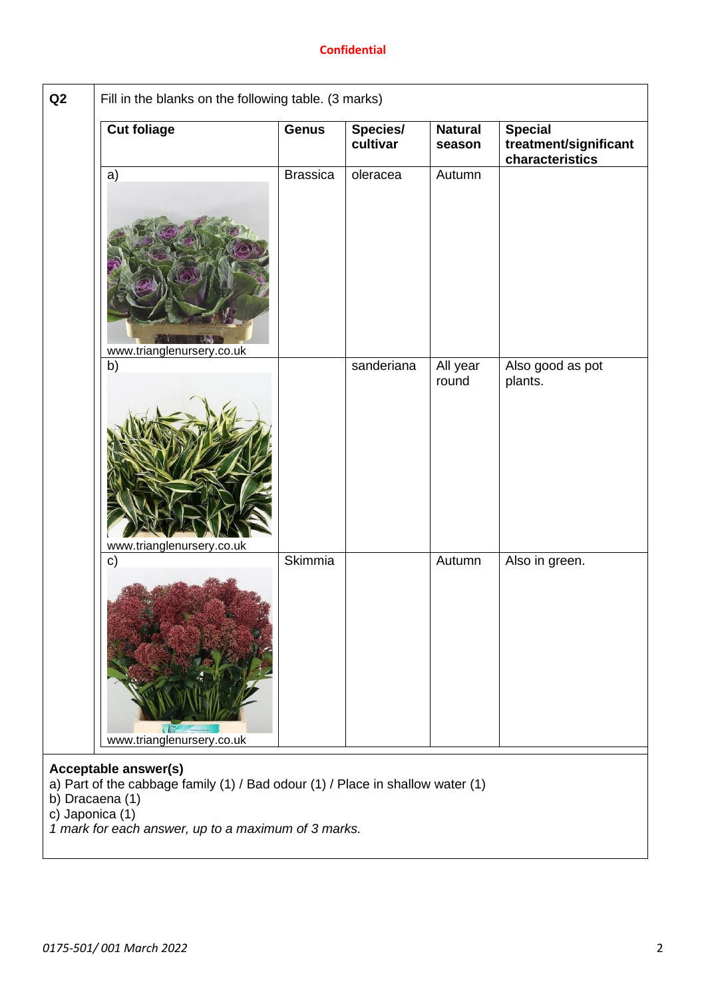| <b>Cut foliage</b>                         | <b>Genus</b>    | Species/<br>cultivar | <b>Natural</b><br>season | <b>Special</b><br>treatment/significant<br>characteristics |
|--------------------------------------------|-----------------|----------------------|--------------------------|------------------------------------------------------------|
| a)                                         | <b>Brassica</b> | oleracea             | Autumn                   |                                                            |
| www.trianglenursery.co.uk<br>b)            |                 | sanderiana           | All year<br>round        | Also good as pot<br>plants.                                |
| www.trianglenursery.co.uk                  | <b>Skimmia</b>  |                      | Autumn                   |                                                            |
| $\mathbf{c})$<br>www.trianglenursery.co.uk |                 |                      |                          | Also in green.                                             |

*1 mark for each answer, up to a maximum of 3 marks.*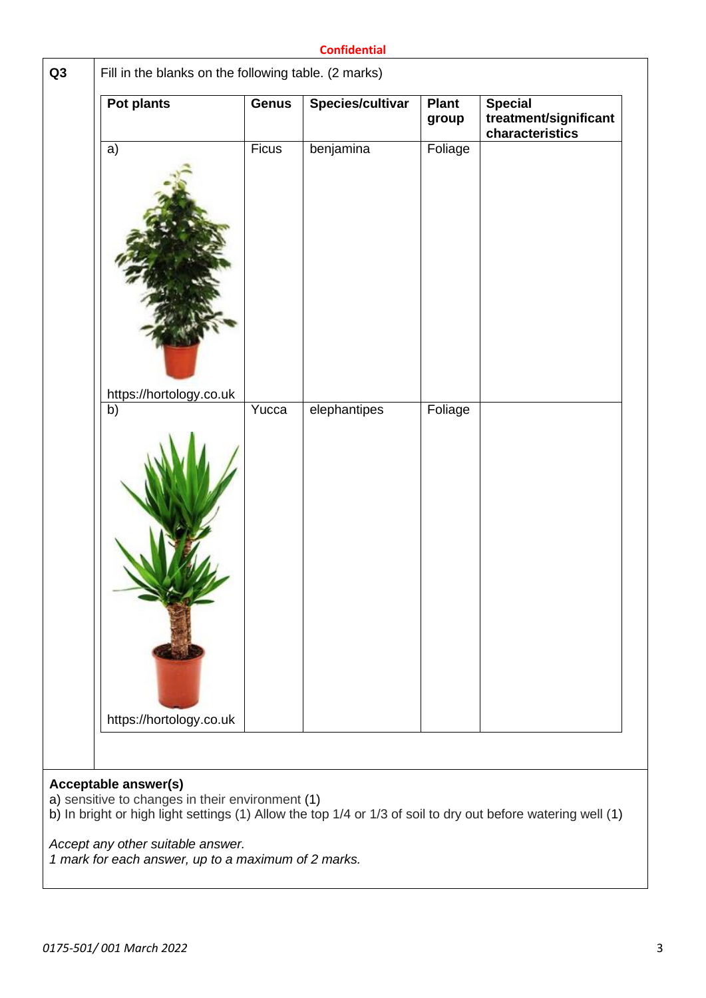| Pot plants                    | <b>Genus</b> | Species/cultivar | <b>Plant</b><br>group | <b>Special</b><br>treatment/significant<br>characteristics |
|-------------------------------|--------------|------------------|-----------------------|------------------------------------------------------------|
| a)                            | Ficus        | benjamina        | Foliage               |                                                            |
| https://hortology.co.uk<br>b) | Yucca        | elephantipes     | Foliage               |                                                            |
| https://hortology.co.uk       |              |                  |                       |                                                            |
|                               |              |                  |                       |                                                            |
| <b>Acceptable answer(s)</b>   |              |                  |                       |                                                            |

*Accept any other suitable answer.*

*1 mark for each answer, up to a maximum of 2 marks.*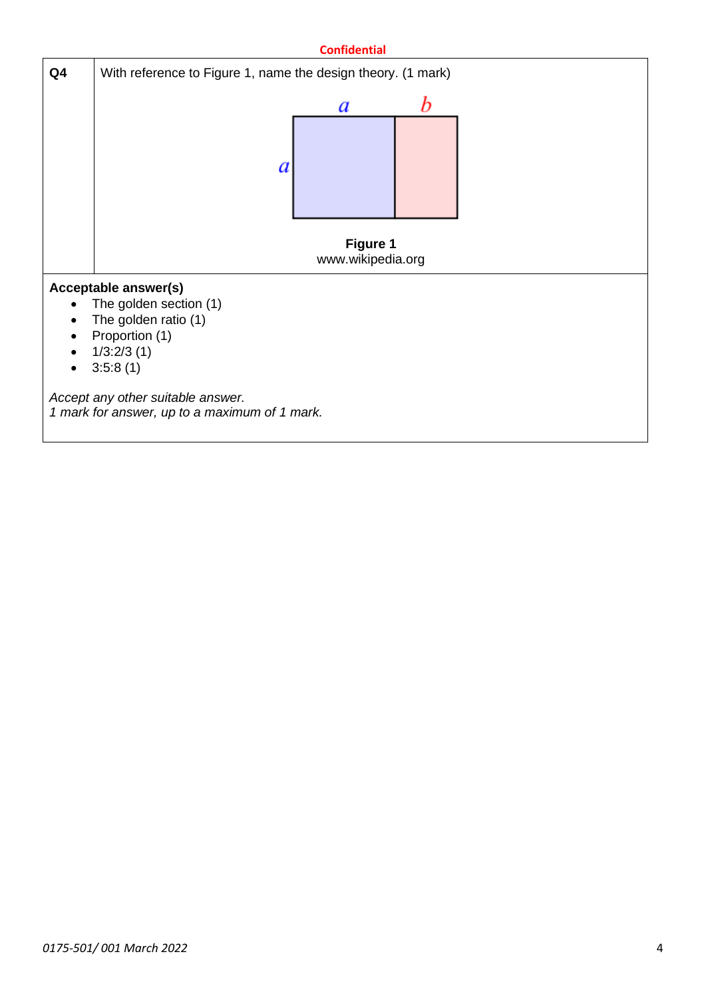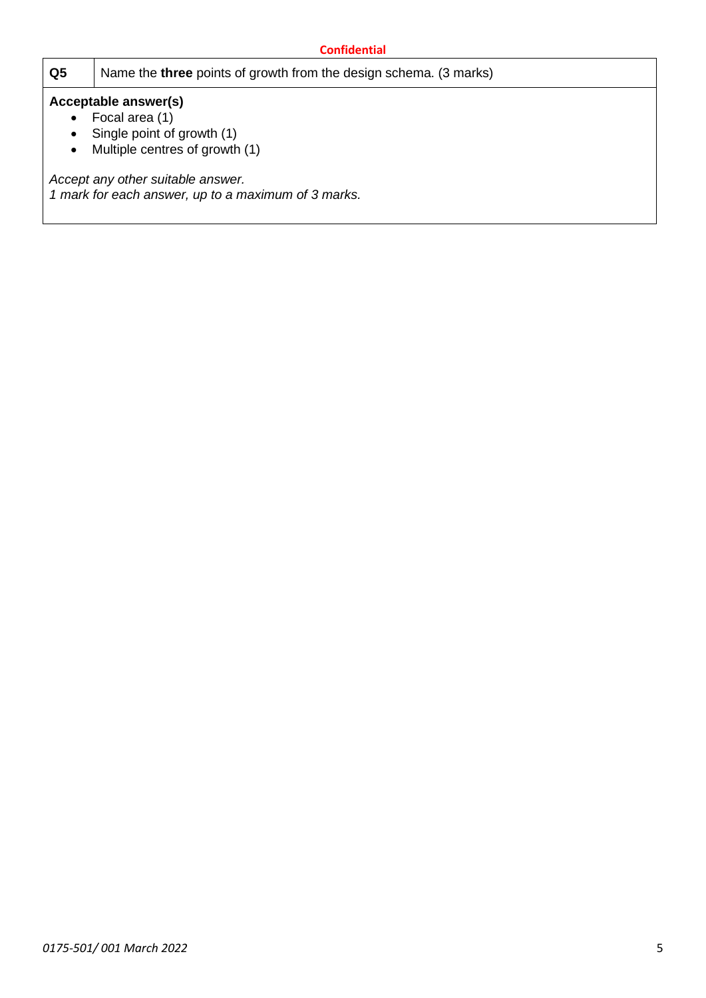|           | <b>Confidential</b>                                                                                                                                                                                |  |  |  |
|-----------|----------------------------------------------------------------------------------------------------------------------------------------------------------------------------------------------------|--|--|--|
| Q5        | Name the <b>three</b> points of growth from the design schema. (3 marks)                                                                                                                           |  |  |  |
| $\bullet$ | Acceptable answer(s)<br>Focal area (1)<br>Single point of growth (1)<br>Multiple centres of growth (1)<br>Accept any other suitable answer.<br>1 mark for each answer, up to a maximum of 3 marks. |  |  |  |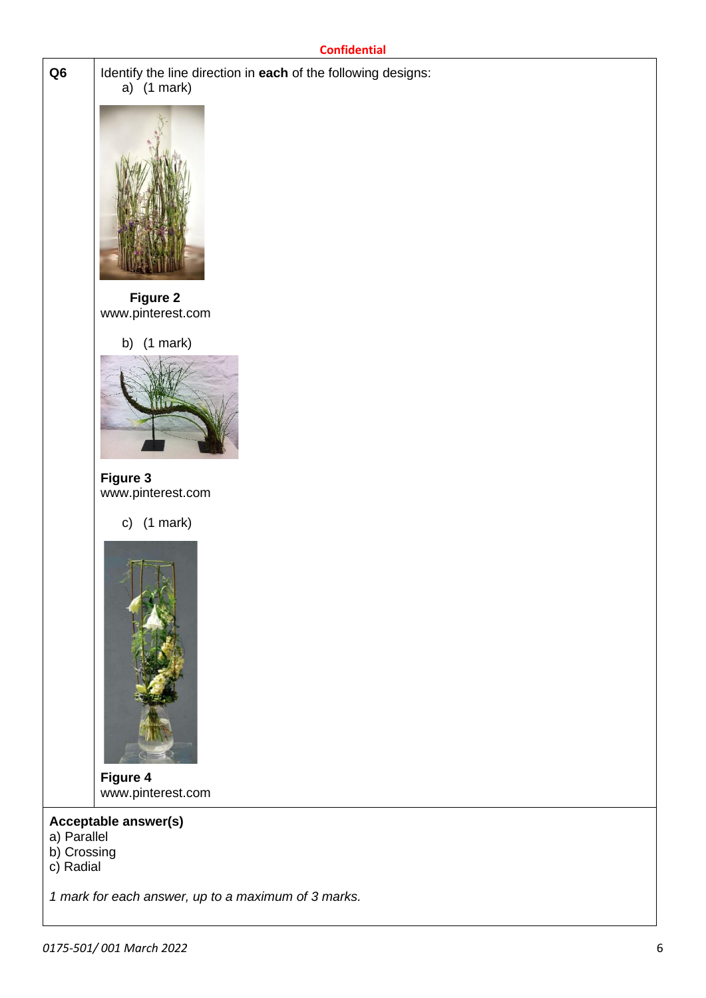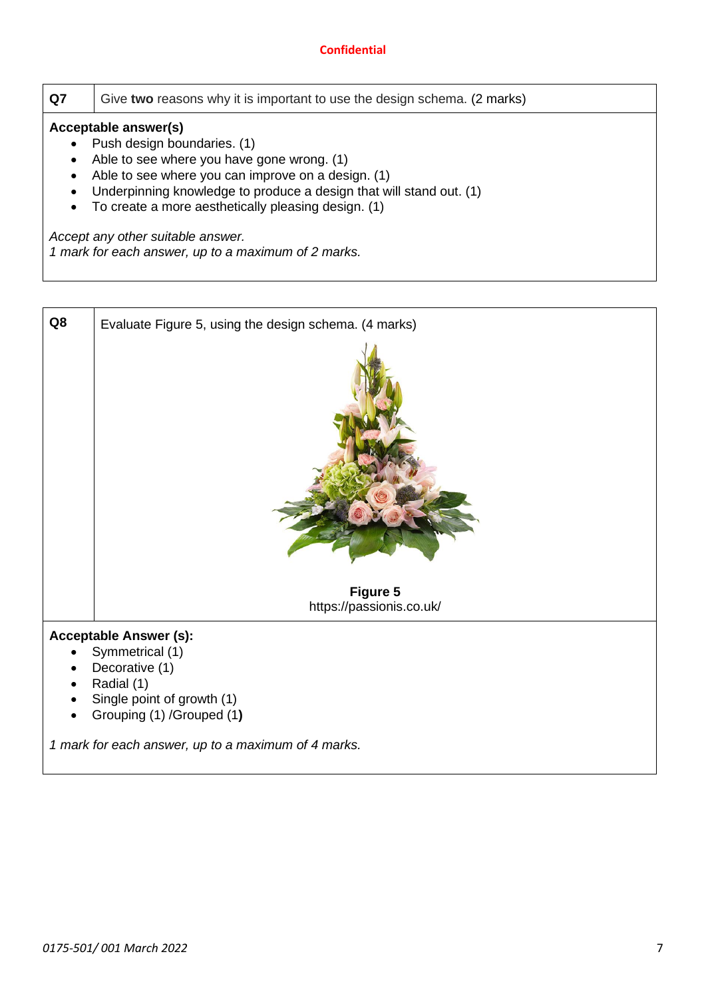| Q7        | Give two reasons why it is important to use the design schema. (2 marks) |  |  |  |  |
|-----------|--------------------------------------------------------------------------|--|--|--|--|
|           | Acceptable answer(s)                                                     |  |  |  |  |
|           | Push design boundaries. (1)                                              |  |  |  |  |
|           | Able to see where you have gone wrong. (1)                               |  |  |  |  |
|           | Able to see where you can improve on a design. (1)                       |  |  |  |  |
|           | Underpinning knowledge to produce a design that will stand out. (1)      |  |  |  |  |
| $\bullet$ | To create a more aesthetically pleasing design. (1)                      |  |  |  |  |
|           | Accept any other suitable answer.                                        |  |  |  |  |
|           | 1 mark for each answer, up to a maximum of 2 marks.                      |  |  |  |  |
|           |                                                                          |  |  |  |  |

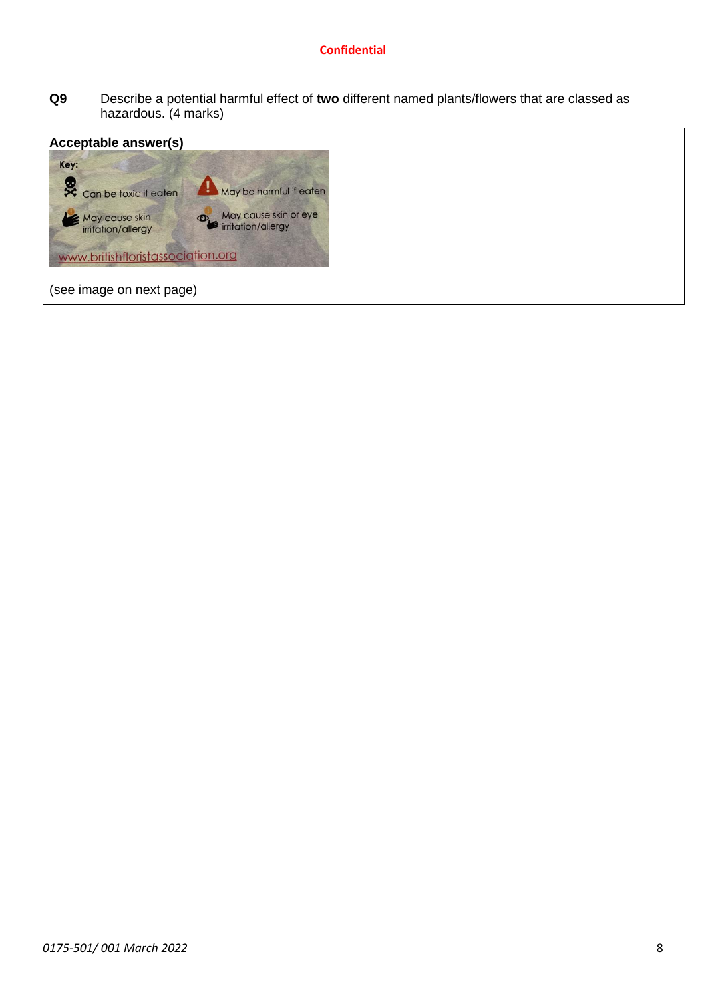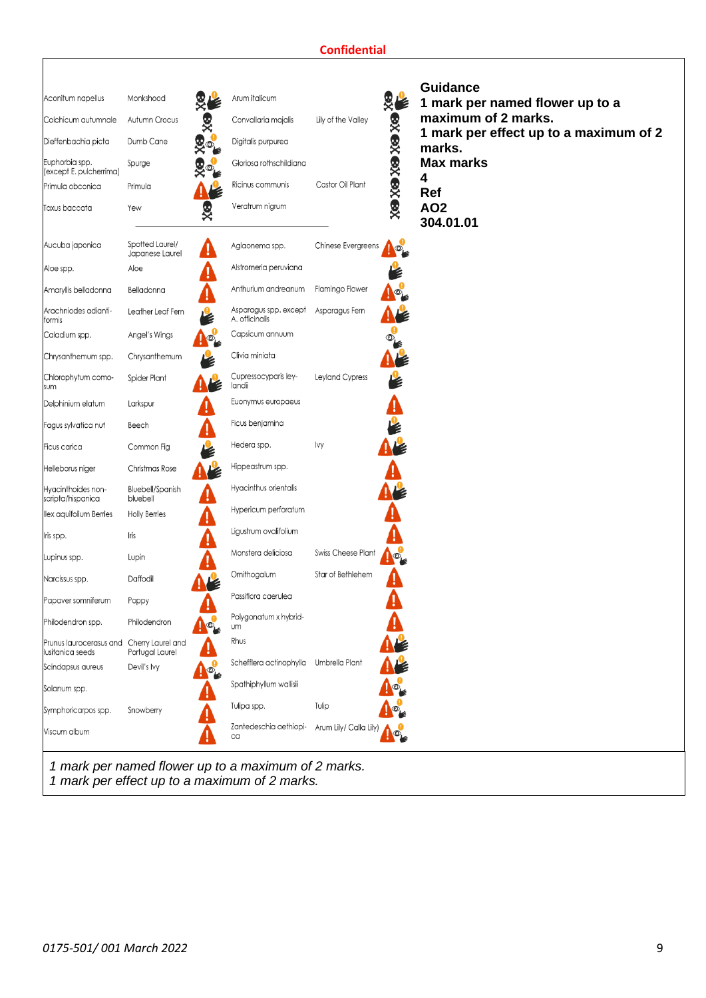| Aconitum napellus                                             | Monkshood                           |                      | Arum italicum                           |                        |                       | <b>Guidance</b><br>1 mark per named flower up to a |
|---------------------------------------------------------------|-------------------------------------|----------------------|-----------------------------------------|------------------------|-----------------------|----------------------------------------------------|
| Colchicum autumnale                                           | Autumn Crocus                       | §∕                   | Convallaria majalis                     | Lily of the Valley     |                       | maximum of 2 marks.                                |
| Dieffenbachia picta                                           | Dumb Cane                           | Ro <sub>k</sub>      | Digitalis purpurea                      |                        |                       | 1 mark per effect up to a maximum of 2<br>marks.   |
| Euphorbia spp.<br>(except E. pulcherrima)                     | Spurge                              | $\mathbb{R}^{\circ}$ | Gloriosa rothschildiana                 |                        | <b>BX BX BX BX BX</b> | <b>Max marks</b><br>4                              |
| Primula obconica                                              | Primula                             |                      | Ricinus communis                        | Castor Oil Plant       |                       | Ref                                                |
| <b>Taxus baccata</b>                                          | Yew                                 | 复义                   | Veratrum nigrum                         |                        |                       | <b>AO2</b><br>304.01.01                            |
| Aucuba japonica                                               | Spotted Laurel/<br>Japanese Laurel  |                      | Aglaonema spp.                          | Chinese Evergreens     | $\circledcirc$        |                                                    |
| Aloe spp.                                                     | Aloe                                |                      | Alstromeria peruviana                   |                        |                       |                                                    |
| Amaryllis belladonna                                          | Belladonna                          |                      | Anthurium andreanum                     | Flamingo Flower        |                       |                                                    |
| Arachniodes adianti-<br>formis                                | Leather Leaf Fern                   |                      | Asparagus spp. except<br>A. officinalis | Asparagus Fern         |                       |                                                    |
| Caladium spp.                                                 | Angel's Wings                       |                      | Capsicum annuum                         |                        |                       |                                                    |
| Chrysanthemum spp.                                            | Chrysanthemum                       |                      | Clivia miniata                          |                        |                       |                                                    |
| Chlorophytum como-<br>sum                                     | Spider Plant                        |                      | Cupressocyparis ley-<br>landii          | Leyland Cypress        |                       |                                                    |
| Delphinium elatum                                             | Larkspur                            |                      | Euonymus europaeus                      |                        |                       |                                                    |
| Fagus sylvatica nut                                           | Beech                               |                      | Ficus benjamina                         |                        |                       |                                                    |
| Ficus carica                                                  | Common Fig                          |                      | Hedera spp.                             | lvy                    |                       |                                                    |
| Helleborus niger                                              | Christmas Rose                      |                      | Hippeastrum spp.                        |                        |                       |                                                    |
| Hyacinthoides non-<br>scripta/hispanica                       | <b>Bluebell/Spanish</b><br>bluebell |                      | Hyacinthus orientalis                   |                        |                       |                                                    |
| llex aquifolium Berries                                       | <b>Holly Berries</b>                |                      | Hypericum perforatum                    |                        |                       |                                                    |
| lris spp.                                                     | Iris                                |                      | Ligustrum ovalifolium                   |                        |                       |                                                    |
| upinus spp.                                                   | Lupin                               |                      | Monstera deliciosa                      | Swiss Cheese Plant     |                       |                                                    |
| Narcissus spp.                                                | Daffodil                            |                      | Ornithogalum                            | Star of Bethlehem      |                       |                                                    |
| Papaver somniferum                                            | Poppy                               |                      | Passiflora caerulea                     |                        |                       |                                                    |
| Philodendron spp.                                             | Philodendron                        |                      | Polygonatum x hybrid-<br><b>um</b>      |                        |                       |                                                    |
| Prunus laurocerasus and Cherry Laurel and<br>Iusitanica seeds | Portugal Laurel                     |                      | Rhus                                    |                        |                       |                                                    |
| Scindapsus aureus                                             | Devil's Ivy                         |                      | Schefflera actinophylla                 | Umbrella Plant         |                       |                                                    |
| Solanum spp.                                                  |                                     |                      | Spathiphyllum wallisii                  |                        |                       |                                                    |
| Symphoricarpos spp.                                           | Snowberry                           |                      | Tulipa spp.                             | Tulip                  |                       |                                                    |
| Viscum album                                                  |                                     |                      | Zantedeschia aethiopi-<br>ca            | Arum Lily/ Calla Lily) |                       |                                                    |

*1 mark per effect up to a maximum of 2 marks.*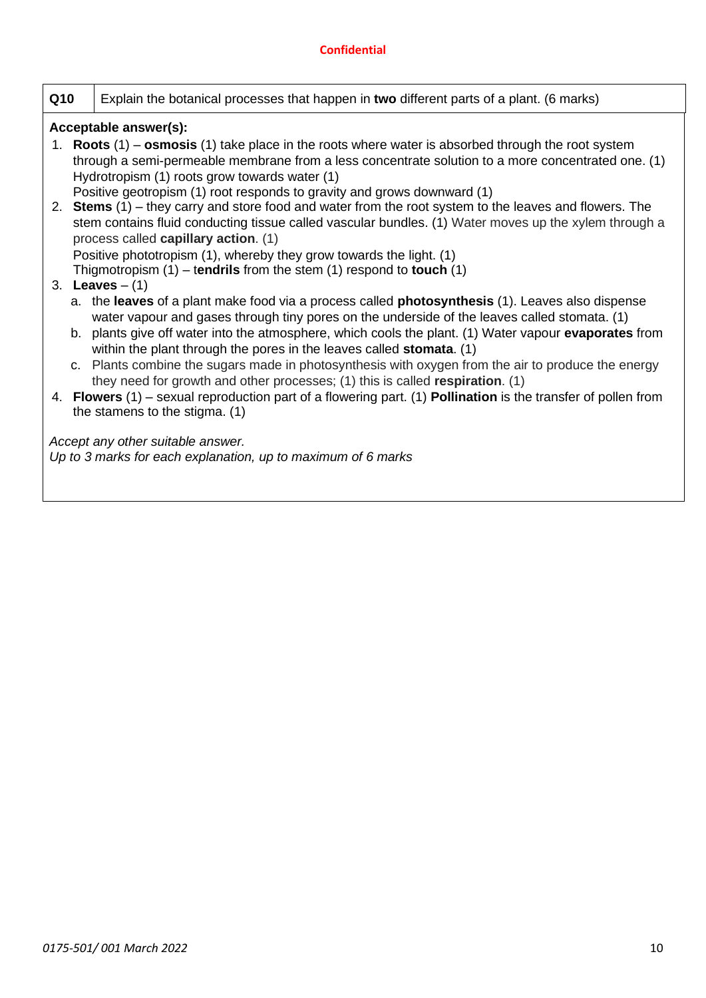| Q10 | Explain the botanical processes that happen in two different parts of a plant. (6 marks)                                                                                                                                                                                                                                                                                                                                                                                                                                                                                                                                                                                                                                             |
|-----|--------------------------------------------------------------------------------------------------------------------------------------------------------------------------------------------------------------------------------------------------------------------------------------------------------------------------------------------------------------------------------------------------------------------------------------------------------------------------------------------------------------------------------------------------------------------------------------------------------------------------------------------------------------------------------------------------------------------------------------|
|     | Acceptable answer(s):                                                                                                                                                                                                                                                                                                                                                                                                                                                                                                                                                                                                                                                                                                                |
|     | 1. Roots $(1)$ – osmosis $(1)$ take place in the roots where water is absorbed through the root system<br>through a semi-permeable membrane from a less concentrate solution to a more concentrated one. (1)<br>Hydrotropism (1) roots grow towards water (1)<br>Positive geotropism (1) root responds to gravity and grows downward (1)                                                                                                                                                                                                                                                                                                                                                                                             |
|     | 2. Stems $(1)$ – they carry and store food and water from the root system to the leaves and flowers. The<br>stem contains fluid conducting tissue called vascular bundles. (1) Water moves up the xylem through a<br>process called capillary action. (1)                                                                                                                                                                                                                                                                                                                                                                                                                                                                            |
|     | Positive phototropism (1), whereby they grow towards the light. (1)<br>Thigmotropism $(1)$ – tendrils from the stem $(1)$ respond to touch $(1)$<br>3. <b>Leaves</b> $- (1)$                                                                                                                                                                                                                                                                                                                                                                                                                                                                                                                                                         |
|     | a. the leaves of a plant make food via a process called <b>photosynthesis</b> (1). Leaves also dispense<br>water vapour and gases through tiny pores on the underside of the leaves called stomata. (1)<br>b. plants give off water into the atmosphere, which cools the plant. (1) Water vapour evaporates from<br>within the plant through the pores in the leaves called stomata. (1)<br>c. Plants combine the sugars made in photosynthesis with oxygen from the air to produce the energy<br>they need for growth and other processes; (1) this is called respiration. (1)<br>4. Flowers $(1)$ – sexual reproduction part of a flowering part. (1) Pollination is the transfer of pollen from<br>the stamens to the stigma. (1) |
|     | Accept any other suitable answer.<br>Up to 3 marks for each explanation, up to maximum of 6 marks                                                                                                                                                                                                                                                                                                                                                                                                                                                                                                                                                                                                                                    |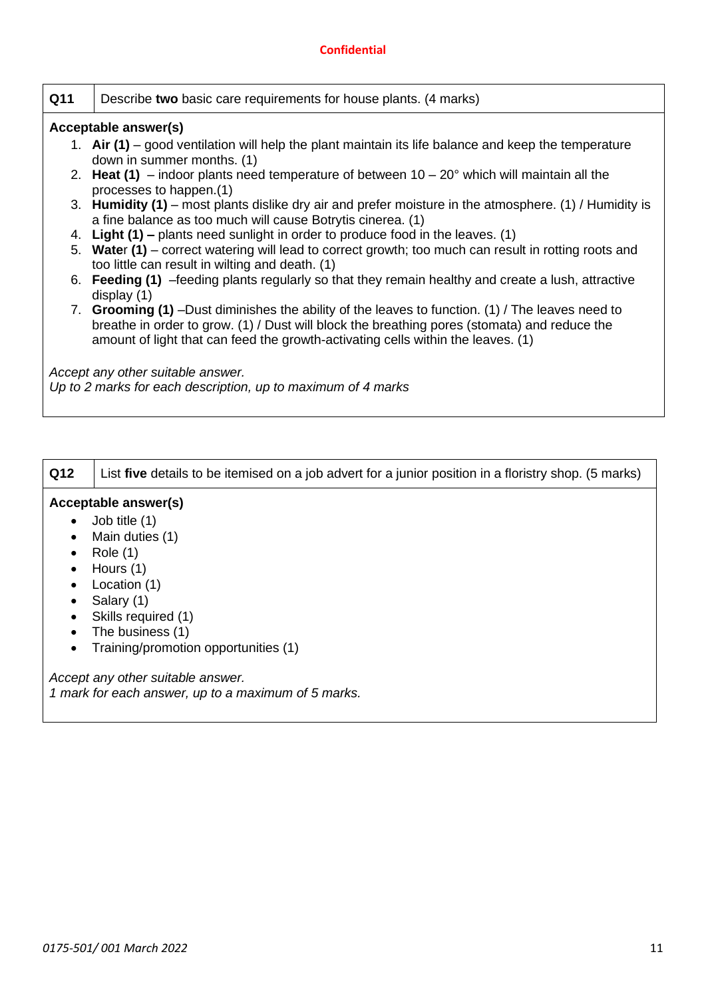| Q11 | Describe two basic care requirements for house plants. (4 marks)                                                                                                                                                                                                                     |
|-----|--------------------------------------------------------------------------------------------------------------------------------------------------------------------------------------------------------------------------------------------------------------------------------------|
|     | Acceptable answer(s)                                                                                                                                                                                                                                                                 |
|     | 1. Air $(1)$ – good ventilation will help the plant maintain its life balance and keep the temperature<br>down in summer months. (1)                                                                                                                                                 |
|     | 2. Heat (1) – indoor plants need temperature of between $10 - 20^{\circ}$ which will maintain all the<br>processes to happen.(1)                                                                                                                                                     |
|     | 3. <b>Humidity (1)</b> – most plants dislike dry air and prefer moisture in the atmosphere. (1) / Humidity is<br>a fine balance as too much will cause Botrytis cinerea. (1)                                                                                                         |
| 4.  | Light (1) – plants need sunlight in order to produce food in the leaves. (1)                                                                                                                                                                                                         |
|     | 5. Water (1) – correct watering will lead to correct growth; too much can result in rotting roots and<br>too little can result in wilting and death. (1)                                                                                                                             |
|     | 6. Feeding (1) -feeding plants regularly so that they remain healthy and create a lush, attractive<br>display $(1)$                                                                                                                                                                  |
|     | 7. Grooming (1) –Dust diminishes the ability of the leaves to function. (1) / The leaves need to<br>breathe in order to grow. (1) / Dust will block the breathing pores (stomata) and reduce the<br>amount of light that can feed the growth-activating cells within the leaves. (1) |
|     | Accept any other suitable answer.<br>Up to 2 marks for each description, up to maximum of 4 marks                                                                                                                                                                                    |

| Q12       | List five details to be itemised on a job advert for a junior position in a floristry shop. (5 marks) |
|-----------|-------------------------------------------------------------------------------------------------------|
|           | Acceptable answer(s)                                                                                  |
|           | $\bullet$ Job title (1)                                                                               |
| $\bullet$ | Main duties (1)                                                                                       |
|           | $\bullet$ Polo (1)                                                                                    |

• Role  $(1)$ 

 $\overline{\mathsf{I}}$ 

 $\overline{1}$ 

- Hours (1) • Location (1)
- Salary (1)
- Skills required (1)
- The business  $(1)$
- Training/promotion opportunities (1)

*Accept any other suitable answer.*

*1 mark for each answer, up to a maximum of 5 marks.*

 $\overline{\mathsf{I}}$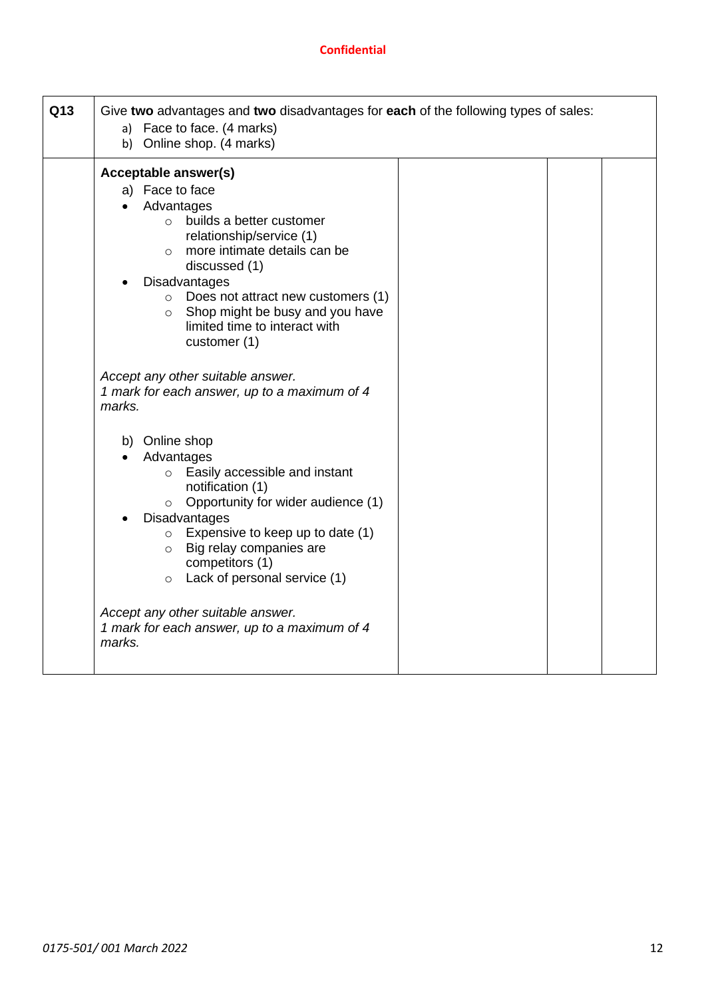| Q13 | Give two advantages and two disadvantages for each of the following types of sales:<br>a) Face to face. (4 marks)<br>b) Online shop. (4 marks)                                                                                                                                                                                                                                                                                         |  |  |
|-----|----------------------------------------------------------------------------------------------------------------------------------------------------------------------------------------------------------------------------------------------------------------------------------------------------------------------------------------------------------------------------------------------------------------------------------------|--|--|
|     | Acceptable answer(s)<br>a) Face to face<br>Advantages<br>builds a better customer<br>$\cap$<br>relationship/service (1)<br>more intimate details can be<br>$\circ$<br>discussed (1)<br>Disadvantages<br>$\circ$ Does not attract new customers (1)<br>Shop might be busy and you have<br>$\circ$<br>limited time to interact with<br>customer (1)<br>Accept any other suitable answer.<br>1 mark for each answer, up to a maximum of 4 |  |  |
|     | marks.<br>b) Online shop<br>Advantages<br>Easily accessible and instant<br>$\circ$<br>notification (1)<br>Opportunity for wider audience (1)<br>$\circ$<br><b>Disadvantages</b><br>Expensive to keep up to date (1)<br>$\circ$<br>Big relay companies are<br>$\circ$<br>competitors (1)<br>$\circ$ Lack of personal service (1)<br>Accept any other suitable answer.<br>1 mark for each answer, up to a maximum of 4<br>marks.         |  |  |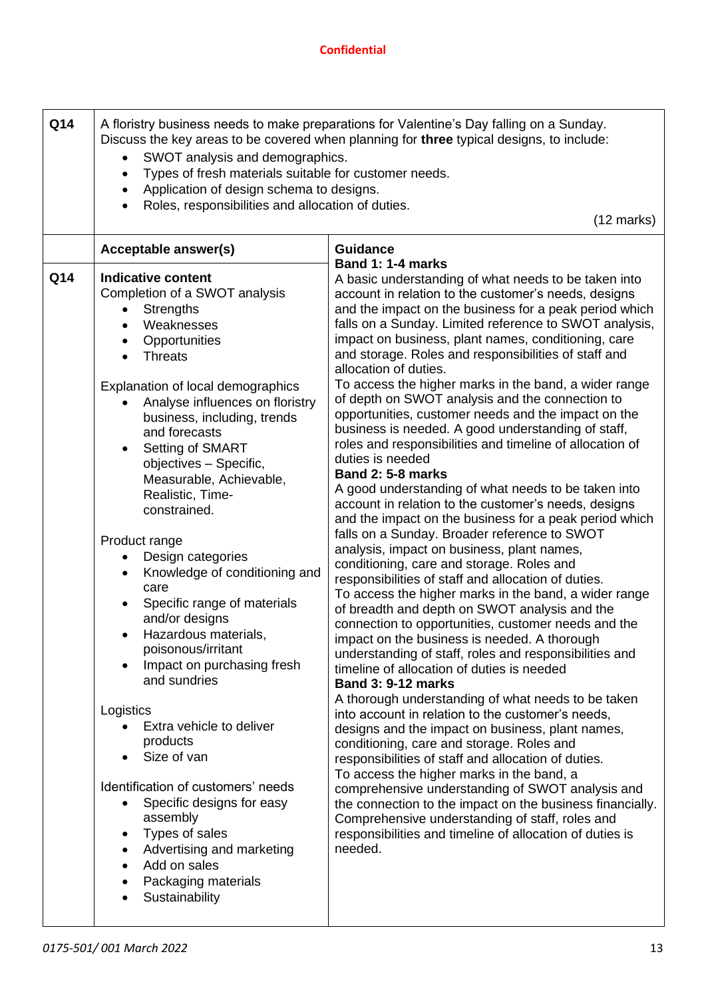| Q14 | A floristry business needs to make preparations for Valentine's Day falling on a Sunday.<br>Discuss the key areas to be covered when planning for three typical designs, to include:<br>SWOT analysis and demographics.<br>$\bullet$<br>Types of fresh materials suitable for customer needs.<br>Application of design schema to designs.<br>$\bullet$<br>Roles, responsibilities and allocation of duties.<br>$(12 \text{ marks})$                                                                                                                                                                                                                                                                                                                                                                                                                                                                                                   |                                                                                                                                                                                                                                                                                                                                                                                                                                                                                                                                                                                                                                                                                                                                                                                                                                                                                                                                                                                                                                                                                                                                                                                                                                                                                                                                                                                                                                                                                                                                                                                                                                                                                                                                                                                                                                                                                                                                                                                                                                                   |  |  |
|-----|---------------------------------------------------------------------------------------------------------------------------------------------------------------------------------------------------------------------------------------------------------------------------------------------------------------------------------------------------------------------------------------------------------------------------------------------------------------------------------------------------------------------------------------------------------------------------------------------------------------------------------------------------------------------------------------------------------------------------------------------------------------------------------------------------------------------------------------------------------------------------------------------------------------------------------------|---------------------------------------------------------------------------------------------------------------------------------------------------------------------------------------------------------------------------------------------------------------------------------------------------------------------------------------------------------------------------------------------------------------------------------------------------------------------------------------------------------------------------------------------------------------------------------------------------------------------------------------------------------------------------------------------------------------------------------------------------------------------------------------------------------------------------------------------------------------------------------------------------------------------------------------------------------------------------------------------------------------------------------------------------------------------------------------------------------------------------------------------------------------------------------------------------------------------------------------------------------------------------------------------------------------------------------------------------------------------------------------------------------------------------------------------------------------------------------------------------------------------------------------------------------------------------------------------------------------------------------------------------------------------------------------------------------------------------------------------------------------------------------------------------------------------------------------------------------------------------------------------------------------------------------------------------------------------------------------------------------------------------------------------------|--|--|
|     |                                                                                                                                                                                                                                                                                                                                                                                                                                                                                                                                                                                                                                                                                                                                                                                                                                                                                                                                       |                                                                                                                                                                                                                                                                                                                                                                                                                                                                                                                                                                                                                                                                                                                                                                                                                                                                                                                                                                                                                                                                                                                                                                                                                                                                                                                                                                                                                                                                                                                                                                                                                                                                                                                                                                                                                                                                                                                                                                                                                                                   |  |  |
| Q14 | Acceptable answer(s)<br><b>Indicative content</b><br>Completion of a SWOT analysis<br><b>Strengths</b><br>Weaknesses<br>$\bullet$<br>Opportunities<br><b>Threats</b><br>$\bullet$<br>Explanation of local demographics<br>Analyse influences on floristry<br>business, including, trends<br>and forecasts<br>Setting of SMART<br>$\bullet$<br>objectives - Specific,<br>Measurable, Achievable,<br>Realistic, Time-<br>constrained.<br>Product range<br>Design categories<br>Knowledge of conditioning and<br>care<br>Specific range of materials<br>and/or designs<br>Hazardous materials,<br>$\bullet$<br>poisonous/irritant<br>Impact on purchasing fresh<br>and sundries<br>Logistics<br>Extra vehicle to deliver<br>products<br>Size of van<br>Identification of customers' needs<br>Specific designs for easy<br>assembly<br>Types of sales<br>$\bullet$<br>Advertising and marketing<br>$\bullet$<br>Add on sales<br>$\bullet$ | <b>Guidance</b><br>Band 1: 1-4 marks<br>A basic understanding of what needs to be taken into<br>account in relation to the customer's needs, designs<br>and the impact on the business for a peak period which<br>falls on a Sunday. Limited reference to SWOT analysis,<br>impact on business, plant names, conditioning, care<br>and storage. Roles and responsibilities of staff and<br>allocation of duties.<br>To access the higher marks in the band, a wider range<br>of depth on SWOT analysis and the connection to<br>opportunities, customer needs and the impact on the<br>business is needed. A good understanding of staff,<br>roles and responsibilities and timeline of allocation of<br>duties is needed<br><b>Band 2: 5-8 marks</b><br>A good understanding of what needs to be taken into<br>account in relation to the customer's needs, designs<br>and the impact on the business for a peak period which<br>falls on a Sunday. Broader reference to SWOT<br>analysis, impact on business, plant names,<br>conditioning, care and storage. Roles and<br>responsibilities of staff and allocation of duties.<br>To access the higher marks in the band, a wider range<br>of breadth and depth on SWOT analysis and the<br>connection to opportunities, customer needs and the<br>impact on the business is needed. A thorough<br>understanding of staff, roles and responsibilities and<br>timeline of allocation of duties is needed<br><b>Band 3: 9-12 marks</b><br>A thorough understanding of what needs to be taken<br>into account in relation to the customer's needs,<br>designs and the impact on business, plant names,<br>conditioning, care and storage. Roles and<br>responsibilities of staff and allocation of duties.<br>To access the higher marks in the band, a<br>comprehensive understanding of SWOT analysis and<br>the connection to the impact on the business financially.<br>Comprehensive understanding of staff, roles and<br>responsibilities and timeline of allocation of duties is<br>needed. |  |  |
|     | Packaging materials<br>Sustainability                                                                                                                                                                                                                                                                                                                                                                                                                                                                                                                                                                                                                                                                                                                                                                                                                                                                                                 |                                                                                                                                                                                                                                                                                                                                                                                                                                                                                                                                                                                                                                                                                                                                                                                                                                                                                                                                                                                                                                                                                                                                                                                                                                                                                                                                                                                                                                                                                                                                                                                                                                                                                                                                                                                                                                                                                                                                                                                                                                                   |  |  |